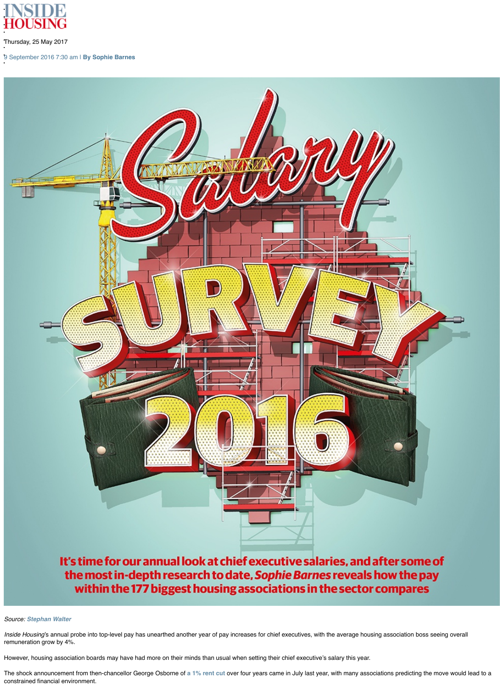# It's time for our annual look at chief executive sa the most in-depth research to date, Sophie Bar within the 177 biggest housing associations i

#### *Source: Stephan Walter*

*Inside Housing's annual probe into top-level pay has unearthed another year of pay increases for chief executives* remuneration grow by 4%.

However, housing association boards may have had more on their minds than usual when setting their chief execu

The shock announcement from then-chancellor George Osborne of a 1% rent cut over four years came in July last constrained financial environment.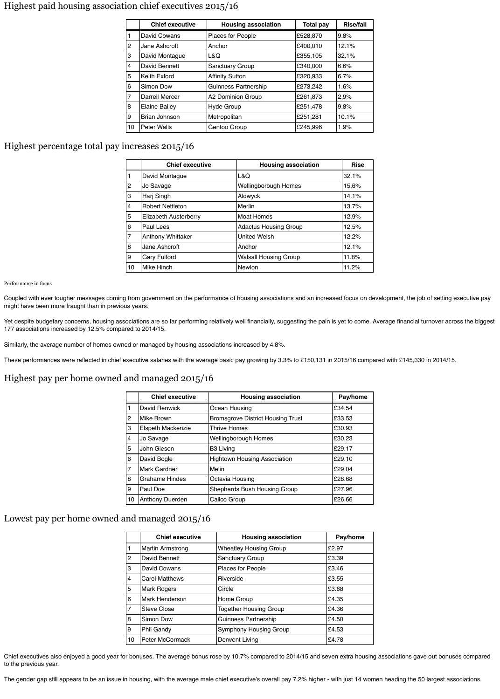### Highest paid housing association chief executives 2015/16

|                | <b>Chief executive</b> | <b>Housing association</b>  | <b>Total pay</b> | <b>Rise/fall</b> |
|----------------|------------------------|-----------------------------|------------------|------------------|
| $\mathbf{1}$   | David Cowans           | <b>Places for People</b>    | £528,870         | 9.8%             |
| $\overline{2}$ | Jane Ashcroft          | Anchor                      | £400,010         | 12.1%            |
| 3              | David Montague         | L&Q                         | £355,105         | 32.1%            |
| $\overline{4}$ | David Bennett          | <b>Sanctuary Group</b>      | £340,000         | 6.6%             |
| $\overline{5}$ | <b>Keith Exford</b>    | <b>Affinity Sutton</b>      | £320,933         | 6.7%             |
| 6              | Simon Dow              | <b>Guinness Partnership</b> | £273,242         | 1.6%             |
| 7              | <b>Darrell Mercer</b>  | <b>A2 Dominion Group</b>    | £261,873         | 2.9%             |
| $\overline{8}$ | <b>Elaine Bailey</b>   | <b>Hyde Group</b>           | £251,478         | 9.8%             |
| 9              | <b>Brian Johnson</b>   | Metropolitan                | £251,281         | 10.1%            |
| 10             | <b>Peter Walls</b>     | Gentoo Group                | £245,996         | 1.9%             |

### Highest percentage total pay increases 2015/16

Yet despite budgetary concerns, housing associations are so far performing relatively well financially, suggesting the pain is yet to come. Average financial turnover across the biggest 177 associations increased by 12.5% compared to 2014/15.

|                 | <b>Chief executive</b>       | <b>Housing association</b>   | <b>Rise</b> |
|-----------------|------------------------------|------------------------------|-------------|
|                 | David Montague               | L&Q                          | 32.1%       |
| $\overline{2}$  | Jo Savage                    | <b>Wellingborough Homes</b>  | 15.6%       |
| 3               | Harj Singh                   | Aldwyck                      | 14.1%       |
| 4               | <b>Robert Nettleton</b>      | <b>Merlin</b>                | 13.7%       |
| 5               | <b>Elizabeth Austerberry</b> | <b>Moat Homes</b>            | 12.9%       |
| 6               | <b>Paul Lees</b>             | <b>Adactus Housing Group</b> | 12.5%       |
| $\overline{7}$  | <b>Anthony Whittaker</b>     | <b>United Welsh</b>          | 12.2%       |
| 8               | Jane Ashcroft                | Anchor                       | 12.1%       |
| 9               | <b>Gary Fulford</b>          | <b>Walsall Housing Group</b> | 11.8%       |
| 10 <sup>1</sup> | <b>Mike Hinch</b>            | Newlon                       | 11.2%       |

#### Performance in focus

Coupled with ever tougher messages coming from government on the performance of housing associations and an increased focus on development, the job of setting executive pay might have been more fraught than in previous years.

Similarly, the average number of homes owned or managed by housing associations increased by 4.8%.

These performances were reflected in chief executive salaries with the average basic pay growing by 3.3% to £150,131 in 2015/16 compared with £145,330 in 2014/15.

### Highest pay per home owned and managed 2015/16

|    | <b>Chief executive</b> | <b>Housing association</b>               | Pay/home |
|----|------------------------|------------------------------------------|----------|
|    | David Renwick          | Ocean Housing                            | £34.54   |
| 2  | <b>Mike Brown</b>      | <b>Bromsgrove District Housing Trust</b> | £33.53   |
| 3  | Elspeth Mackenzie      | <b>Thrive Homes</b>                      | £30.93   |
| 4  | Jo Savage              | <b>Wellingborough Homes</b>              | £30.23   |
| 5  | John Giesen            | <b>B3 Living</b>                         | £29.17   |
| 6  | David Bogle            | <b>Hightown Housing Association</b>      | £29.10   |
| 7  | <b>Mark Gardner</b>    | Melin                                    | £29.04   |
| 8  | <b>Grahame Hindes</b>  | Octavia Housing                          | £28.68   |
| 9  | Paul Doe               | <b>Shepherds Bush Housing Group</b>      | £27.96   |
| 10 | <b>Anthony Duerden</b> | <b>Calico Group</b>                      | £26.66   |

Lowest pay per home owned and managed 2015/16

|                | <b>Chief executive</b>  | <b>Housing association</b>    | Pay/home |
|----------------|-------------------------|-------------------------------|----------|
| $\mathbf{1}$   | <b>Martin Armstrong</b> | <b>Wheatley Housing Group</b> | £2.97    |
| $\overline{2}$ | David Bennett           | <b>Sanctuary Group</b>        | £3.39    |
| 3              | David Cowans            | Places for People             | £3.46    |
| $\overline{4}$ | <b>Carol Matthews</b>   | Riverside                     | £3.55    |
| $\overline{5}$ | <b>Mark Rogers</b>      | Circle                        | £3.68    |
| 6              | <b>Mark Henderson</b>   | Home Group                    | £4.35    |
| $\overline{7}$ | <b>Steve Close</b>      | <b>Together Housing Group</b> | £4.36    |
| 8              | Simon Dow               | Guinness Partnership          | £4.50    |
| l9             | <b>Phil Gandy</b>       | <b>Symphony Housing Group</b> | £4.53    |
| 10             | <b>Peter McCormack</b>  | <b>Derwent Living</b>         | £4.78    |

Chief executives also enjoyed a good year for bonuses. The average bonus rose by 10.7% compared to 2014/15 and seven extra housing associations gave out bonuses compared to the previous year.

The gender gap still appears to be an issue in housing, with the average male chief executive's overall pay 7.2% higher - with just 14 women heading the 50 largest associations.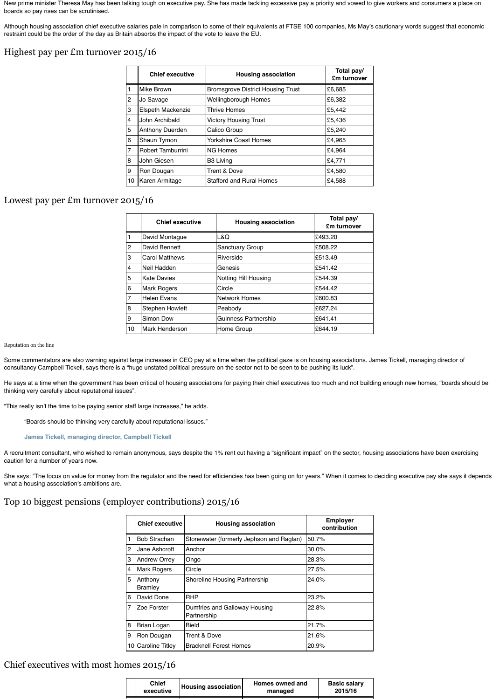New prime minister Theresa May has been talking tough on executive pay. She has made tackling excessive pay a priority and vowed to give workers and consumers a place on boards so pay rises can be scrutinised.

Although housing association chief executive salaries pale in comparison to some of their equivalents at FTSE 100 companies, Ms May's cautionary words suggest that economic restraint could be the order of the day as Britain absorbs the impact of the vote to leave the EU.

### Highest pay per £m turnover 2015/16

|                | <b>Chief executive</b>   | <b>Housing association</b>               | Total pay/<br>£m turnover |
|----------------|--------------------------|------------------------------------------|---------------------------|
| $\mathbf{1}$   | <b>Mike Brown</b>        | <b>Bromsgrove District Housing Trust</b> | £6,685                    |
| $\overline{2}$ | Jo Savage                | <b>Wellingborough Homes</b>              | £6,382                    |
| 3              | <b>Elspeth Mackenzie</b> | <b>Thrive Homes</b>                      | £5,442                    |
| $\overline{4}$ | John Archibald           | <b>Victory Housing Trust</b>             | £5,436                    |
| 5              | <b>Anthony Duerden</b>   | Calico Group                             | £5,240                    |
| 6              | Shaun Tymon              | <b>Yorkshire Coast Homes</b>             | £4,965                    |
| $\overline{7}$ | <b>Robert Tamburrini</b> | <b>NG Homes</b>                          | £4,964                    |
| 8              | John Giesen              | <b>B3 Living</b>                         | £4,771                    |
| 9              | Ron Dougan               | <b>Trent &amp; Dove</b>                  | £4,580                    |
| 10             | Karen Armitage           | <b>Stafford and Rural Homes</b>          | £4,588                    |

### Lowest pay per £m turnover 2015/16

|                | <b>Chief executive</b> | <b>Housing association</b>  | Total pay/<br>£m turnover |
|----------------|------------------------|-----------------------------|---------------------------|
| $\mathbf{1}$   | David Montague         | L&Q                         | £493.20                   |
| $\overline{2}$ | <b>David Bennett</b>   | <b>Sanctuary Group</b>      | £508.22                   |
| 3              | <b>Carol Matthews</b>  | Riverside                   | £513.49                   |
| $\overline{4}$ | Neil Hadden            | Genesis                     | £541.42                   |
| 5              | <b>Kate Davies</b>     | <b>Notting Hill Housing</b> | £544.39                   |
| 6              | <b>Mark Rogers</b>     | Circle                      | £544.42                   |
| $\overline{7}$ | <b>Helen Evans</b>     | <b>Network Homes</b>        | £600.83                   |
| 8              | <b>Stephen Howlett</b> | Peabody                     | £627.24                   |
| 9              | Simon Dow              | <b>Guinness Partnership</b> | £641.41                   |
| 10             | <b>Mark Henderson</b>  | Home Group                  | £644.19                   |

#### Reputation on the line

Some commentators are also warning against large increases in CEO pay at a time when the political gaze is on housing associations. James Tickell, managing director of consultancy Campbell Tickell, says there is a "huge unstated political pressure on the sector not to be seen to be pushing its luck".

He says at a time when the government has been critical of housing associations for paying their chief executives too much and not building enough new homes, "boards should be thinking very carefully about reputational issues".

"This really isn't the time to be paying senior staff large increases," he adds.

"Boards should be thinking very carefully about reputational issues."

#### **James Tickell, managing director, Campbell Tickell**

A recruitment consultant, who wished to remain anonymous, says despite the 1% rent cut having a "significant impact" on the sector, housing associations have been exercising

caution for a number of years now.

She says: "The focus on value for money from the regulator and the need for efficiencies has been going on for years." When it comes to deciding executive pay she says it depends what a housing association's ambitions are.

Top 10 biggest pensions (employer contributions) 2015/16

|                 | <b>Chief executive</b>    | <b>Housing association</b>                   | <b>Employer</b><br>contribution |
|-----------------|---------------------------|----------------------------------------------|---------------------------------|
| $\mathbf{1}$    | <b>Bob Strachan</b>       | Stonewater (formerly Jephson and Raglan)     | 50.7%                           |
| $\overline{2}$  | Jane Ashcroft             | Anchor                                       | 30.0%                           |
| 3               | <b>Andrew Orrey</b>       | Ongo                                         | 28.3%                           |
| $\overline{4}$  | <b>Mark Rogers</b>        | Circle                                       | 27.5%                           |
| 5               | Anthony<br><b>Bramley</b> | <b>Shoreline Housing Partnership</b>         | 24.0%                           |
| $6\phantom{1}6$ | David Done                | <b>RHP</b>                                   | 23.2%                           |
| $\overline{7}$  | Zoe Forster               | Dumfries and Galloway Housing<br>Partnership | 22.8%                           |
| 8               | <b>Brian Logan</b>        | <b>Bield</b>                                 | 21.7%                           |
| 9               | Ron Dougan                | Trent & Dove                                 | 21.6%                           |
|                 | 10 Caroline Titley        | <b>Bracknell Forest Homes</b>                | 20.9%                           |

Chief executives with most homes 2015/16

| Chief<br>executive | <b>Housing association</b> | Homes owned and<br>managed | <b>Basic salary</b><br>2015/16 |
|--------------------|----------------------------|----------------------------|--------------------------------|
|                    |                            |                            |                                |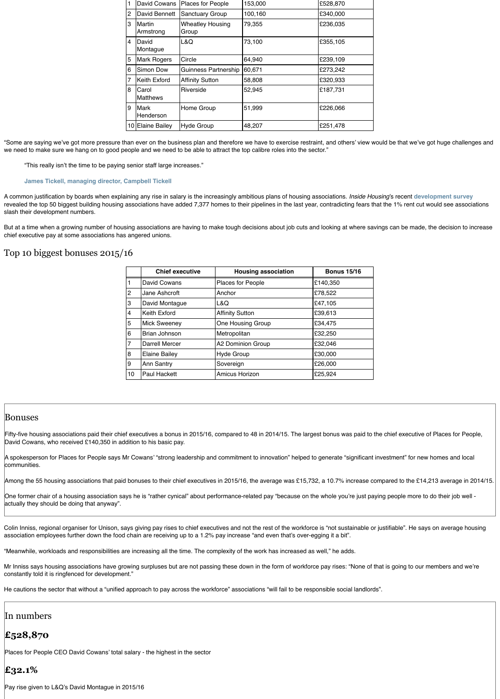| S              | David Montague        | L&Q                      |
|----------------|-----------------------|--------------------------|
| $\overline{4}$ | <b>Keith Exford</b>   | <b>Affinity Sutton</b>   |
| 5              | <b>Mick Sweeney</b>   | <b>One Housing Group</b> |
| 6              | <b>Brian Johnson</b>  | Metropolitan             |
| $\overline{7}$ | <b>Darrell Mercer</b> | A2 Dominion Group        |
| 8              | <b>Elaine Bailey</b>  | <b>Hyde Group</b>        |
| 9              | <b>Ann Santry</b>     | Sovereign                |
| 10             | <b>Paul Hackett</b>   | <b>Amicus Horizon</b>    |

#### Bonuses

Fifty-five housing associations paid their chief executives a bonus in 2015/16, compared to 48 in 2014/15. The large David Cowans, who received £140,350 in addition to his basic pay.

A spokesperson for Places for People says Mr Cowans' "strong leadership and commitment to innovation" helped communities.

Among the 55 housing associations that paid bonuses to their chief executives in 2015/16, the average was £15,7

One former chair of a housing association says he is "rather cynical" about performance-related pay "because on actually they should be doing that anyway".

Colin Inniss, regional organiser for Unison, says giving pay rises to chief executives and not the rest of the workfor association employees further down the food chain are receiving up to a 1.2% pay increase "and even that's over-

"Meanwhile, workloads and responsibilities are increasing all the time. The complexity of the work has increased a

Mr Inniss says housing associations have growing surpluses but are not passing these down in the form of workfo constantly told it is ringfenced for development."

He cautions the sector that without a "unified approach to pay across the workforce" associations "will fail to be res

#### In numbers

# **£528,870**

Places for People CEO David Cowans' total salary - the highest in the sector

### **£32.1%**

Pay rise given to L&Q's David Montague in 2015/16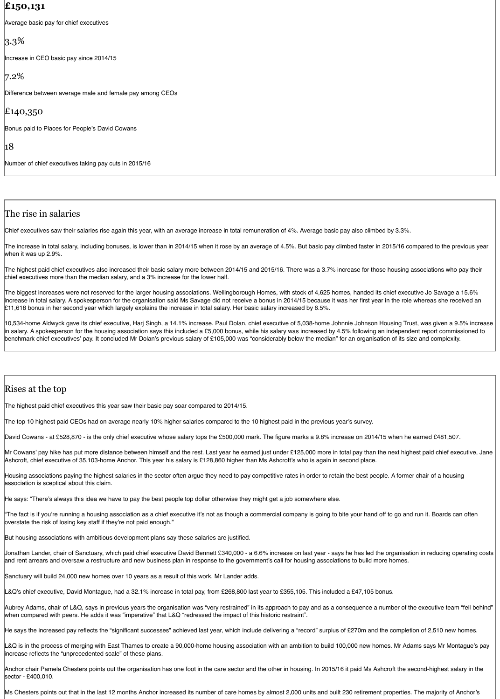## **£150,131**

Average basic pay for chief executives

### 3.3%

Increase in CEO basic pay since 2014/15

 $7.2\%$ 

Difference between average male and female pay among CEOs

#### $E140,350$

Bonus paid to Places for People's David Cowans

18

Number of chief executives taking pay cuts in 2015/16

## The rise in salaries

Chief executives saw their salaries rise again this year, with an average increase in total remuneration of 4%. Average basic pay also climbed by 3.3%.

The increase in total salary, including bonuses, is lower than in 2014/15 when it rose by an average of 4.5%. But basic pay climbed faster in 2015/16 compared to the previous year when it was up 2.9%.

The highest paid chief executives also increased their basic salary more between 2014/15 and 2015/16. There was a 3.7% increase for those housing associations who pay their chief executives more than the median salary, and a 3% increase for the lower half.

The biggest increases were not reserved for the larger housing associations. Wellingborough Homes, with stock of 4,625 homes, handed its chief executive Jo Savage a 15.6% increase in total salary. A spokesperson for the organisation said Ms Savage did not receive a bonus in 2014/15 because it was her first year in the role whereas she received an £11,618 bonus in her second year which largely explains the increase in total salary. Her basic salary increased by 6.5%.

10,534-home Aldwyck gave its chief executive, Harj Singh, a 14.1% increase. Paul Dolan, chief executive of 5,038-home Johnnie Johnson Housing Trust, was given a 9.5% increase in salary. A spokesperson for the housing association says this included a £5,000 bonus, while his salary was increased by 4.5% following an independent report commissioned to benchmark chief executives' pay. It concluded Mr Dolan's previous salary of £105,000 was "considerably below the median" for an organisation of its size and complexity.

## Rises at the top

Aubrey Adams, chair of L&Q, says in previous years the organisation was "very restrained" in its approach to pay and as a consequence a number of the executive team "fell behind" when compared with peers. He adds it was "imperative" that L&Q "redressed the impact of this historic restraint".

He says the increased pay reflects the "significant successes" achieved last year, which include delivering a "record" surplus of £270m and the completion of 2,510 new homes.

The highest paid chief executives this year saw their basic pay soar compared to 2014/15.

The top 10 highest paid CEOs had on average nearly 10% higher salaries compared to the 10 highest paid in the previous year's survey.

David Cowans - at £528,870 - is the only chief executive whose salary tops the £500,000 mark. The figure marks a 9.8% increase on 2014/15 when he earned £481,507.

Mr Cowans' pay hike has put more distance between himself and the rest. Last year he earned just under £125,000 more in total pay than the next highest paid chief executive, Jane Ashcroft, chief executive of 35,103-home Anchor. This year his salary is £128,860 higher than Ms Ashcroft's who is again in second place.

Housing associations paying the highest salaries in the sector often argue they need to pay competitive rates in order to retain the best people. A former chair of a housing association is sceptical about this claim.

He says: "There's always this idea we have to pay the best people top dollar otherwise they might get a job somewhere else.

"The fact is if you're running a housing association as a chief executive it's not as though a commercial company is going to bite your hand off to go and run it. Boards can often overstate the risk of losing key staff if they're not paid enough."

But housing associations with ambitious development plans say these salaries are justified.

Jonathan Lander, chair of Sanctuary, which paid chief executive David Bennett £340,000 - a 6.6% increase on last year - says he has led the organisation in reducing operating costs and rent arrears and oversaw a restructure and new business plan in response to the government's call for housing associations to build more homes.

Sanctuary will build 24,000 new homes over 10 years as a result of this work, Mr Lander adds.

L&Q's chief executive, David Montague, had a 32.1% increase in total pay, from £268,800 last year to £355,105. This included a £47,105 bonus.

L&Q is in the process of merging with East Thames to create a 90,000-home housing association with an ambition to build 100,000 new homes. Mr Adams says Mr Montague's pay increase reflects the "unprecedented scale" of these plans.

Anchor chair Pamela Chesters points out the organisation has one foot in the care sector and the other in housing. In 2015/16 it paid Ms Ashcroft the second-highest salary in the sector - £400,010.

Ms Chesters points out that in the last 12 months Anchor increased its number of care homes by almost 2,000 units and built 230 retirement properties. The majority of Anchor's